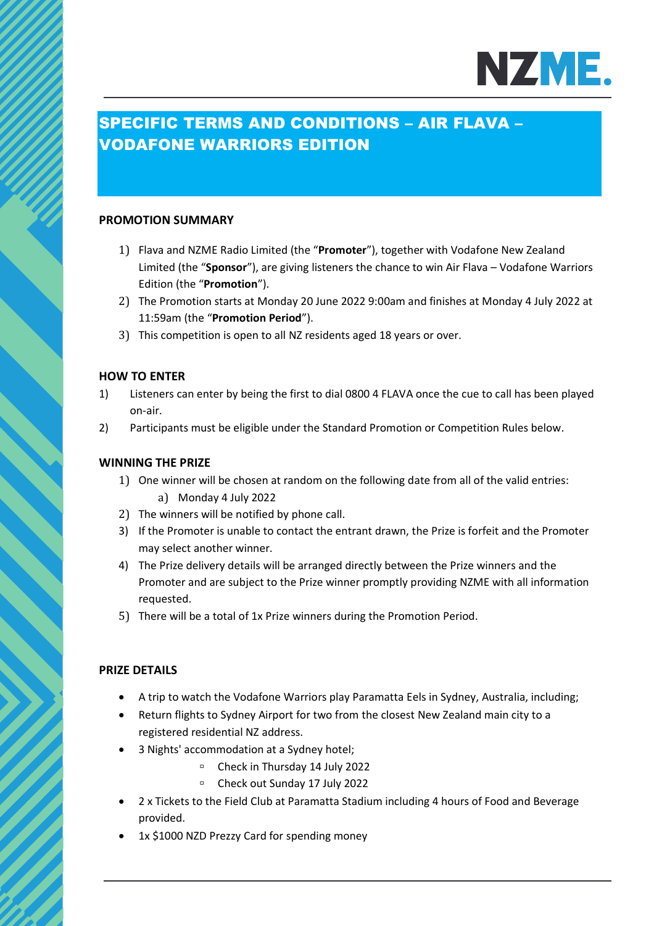

# SPECIFIC TERMS AND CONDITIONS – AIR FLAVA – VODAFONE WARRIORS EDITION

### **PROMOTION SUMMARY**

- 1) Flava and NZME Radio Limited (the "**Promoter**"), together with Vodafone New Zealand Limited (the "**Sponsor**"), are giving listeners the chance to win Air Flava – Vodafone Warriors Edition (the "**Promotion**").
- 2) The Promotion starts at Monday 20 June 2022 9:00am and finishes at Monday 4 July 2022 at 11:59am (the "**Promotion Period**").
- 3) This competition is open to all NZ residents aged 18 years or over.

### **HOW TO ENTER**

- 1) Listeners can enter by being the first to dial 0800 4 FLAVA once the cue to call has been played on-air.
- 2) Participants must be eligible under the Standard Promotion or Competition Rules below.

### **WINNING THE PRIZE**

- 1) One winner will be chosen at random on the following date from all of the valid entries: a) Monday 4 July 2022
- 2) The winners will be notified by phone call.
- 3) If the Promoter is unable to contact the entrant drawn, the Prize is forfeit and the Promoter may select another winner.
- 4) The Prize delivery details will be arranged directly between the Prize winners and the Promoter and are subject to the Prize winner promptly providing NZME with all information requested.
- 5) There will be a total of 1x Prize winners during the Promotion Period.

### **PRIZE DETAILS**

- A trip to watch the Vodafone Warriors play Paramatta Eels in Sydney, Australia, including;
- Return flights to Sydney Airport for two from the closest New Zealand main city to a registered residential NZ address.
- 3 Nights' accommodation at a Sydney hotel;
	- Check in Thursday 14 July 2022
	- Check out Sunday 17 July 2022
- 2 x Tickets to the Field Club at Paramatta Stadium including 4 hours of Food and Beverage provided.
- 1x \$1000 NZD Prezzy Card for spending money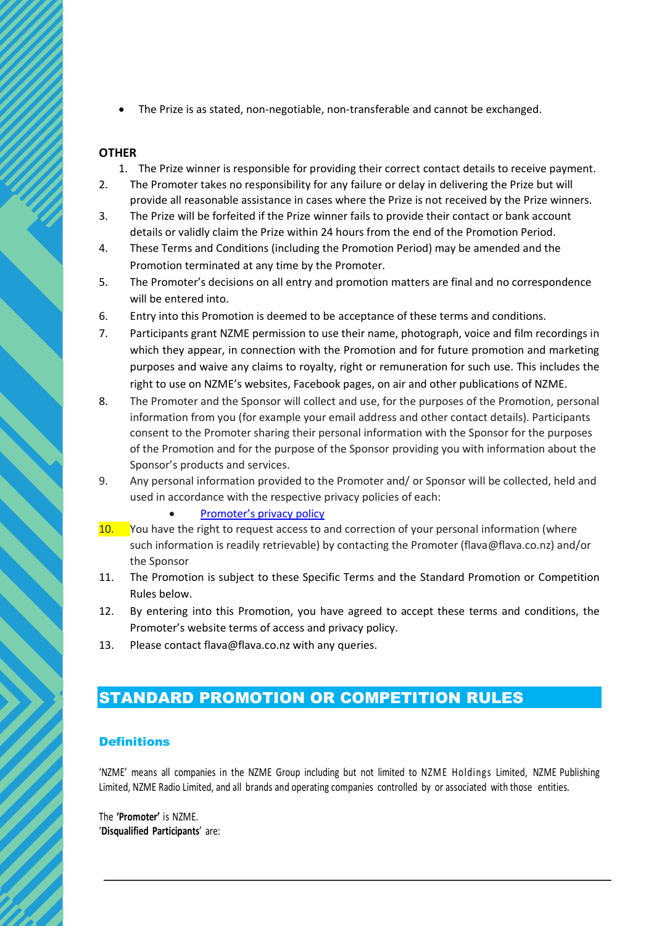• The Prize is as stated, non-negotiable, non-transferable and cannot be exchanged.

### **OTHER**

- 1. The Prize winner is responsible for providing their correct contact details to receive payment.
- 2. The Promoter takes no responsibility for any failure or delay in delivering the Prize but will provide all reasonable assistance in cases where the Prize is not received by the Prize winners.
- 3. The Prize will be forfeited if the Prize winner fails to provide their contact or bank account details or validly claim the Prize within 24 hours from the end of the Promotion Period.
- 4. These Terms and Conditions (including the Promotion Period) may be amended and the Promotion terminated at any time by the Promoter.
- 5. The Promoter's decisions on all entry and promotion matters are final and no correspondence will be entered into.
- 6. Entry into this Promotion is deemed to be acceptance of these terms and conditions.
- 7. Participants grant NZME permission to use their name, photograph, voice and film recordings in which they appear, in connection with the Promotion and for future promotion and marketing purposes and waive any claims to royalty, right or remuneration for such use. This includes the right to use on NZME's websites, Facebook pages, on air and other publications of NZME.
- 8. The Promoter and the Sponsor will collect and use, for the purposes of the Promotion, personal information from you (for example your email address and other contact details). Participants consent to the Promoter sharing their personal information with the Sponsor for the purposes of the Promotion and for the purpose of the Sponsor providing you with information about the Sponsor's products and services.
- 9. Any personal information provided to the Promoter and/ or Sponsor will be collected, held and used in accordance with the respective privacy policies of each:
	- [Promoter's privacy policy](https://www.nzme.co.nz/media/5ihfylhk/nzme-privacy-policy_may2021_v2.pdf)
- 10. You have the right to request access to and correction of your personal information (where such information is readily retrievable) by contacting the Promoter (flava@flava.co.nz) and/or the Sponsor
- 11. The Promotion is subject to these Specific Terms and the Standard Promotion or Competition Rules below.
- 12. By entering into this Promotion, you have agreed to accept these terms and conditions, the Promoter's website terms of access and privacy policy.
- 13. Please contact flava@flava.co.nz with any queries.

# STANDARD PROMOTION OR COMPETITION RULES

### **Definitions**

'NZME' means all companies in the NZME Group including but not limited to NZME Holdings Limited, NZME Publishing Limited, NZME Radio Limited, and all brands and operating companies controlled by or associated with those entities.

The **'Promoter'** is NZME. '**Disqualified Participants**' are: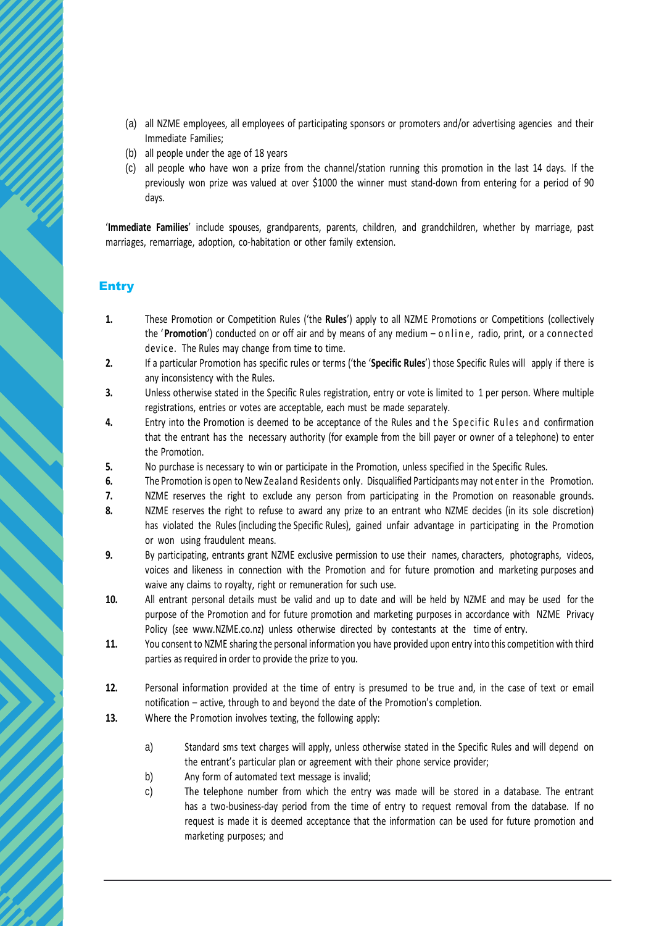- (a) all NZME employees, all employees of participating sponsors or promoters and/or advertising agencies and their Immediate Families;
- (b) all people under the age of 18 years
- (c) all people who have won a prize from the channel/station running this promotion in the last 14 days. If the previously won prize was valued at over \$1000 the winner must stand-down from entering for a period of 90 days.

'**Immediate Families**' include spouses, grandparents, parents, children, and grandchildren, whether by marriage, past marriages, remarriage, adoption, co-habitation or other family extension.

### Entry

- **1.** These Promotion or Competition Rules ('the **Rules**') apply to all NZME Promotions or Competitions (collectively the '**Promotion**') conducted on or off air and by means of any medium – o n line, radio, print, or a connected device. The Rules may change from time to time.
- **2.** If a particular Promotion has specific rules or terms ('the '**Specific Rules**') those Specific Rules will apply if there is any inconsistency with the Rules.
- **3.** Unless otherwise stated in the Specific Rules registration, entry or vote is limited to 1 per person. Where multiple registrations, entries or votes are acceptable, each must be made separately.
- **4.** Entry into the Promotion is deemed to be acceptance of the Rules and the Specific Rules and confirmation that the entrant has the necessary authority (for example from the bill payer or owner of a telephone) to enter the Promotion.
- **5.** No purchase is necessary to win or participate in the Promotion, unless specified in the Specific Rules.
- **6.** The Promotion is open to New Zealand Residents only. Disqualified Participants may not enter in the Promotion.
- **7.** NZME reserves the right to exclude any person from participating in the Promotion on reasonable grounds.
- **8.** NZME reserves the right to refuse to award any prize to an entrant who NZME decides (in its sole discretion) has violated the Rules (including the Specific Rules), gained unfair advantage in participating in the Promotion or won using fraudulent means.
- **9.** By participating, entrants grant NZME exclusive permission to use their names, characters, photographs, videos, voices and likeness in connection with the Promotion and for future promotion and marketing purposes and waive any claims to royalty, right or remuneration for such use.
- **10.** All entrant personal details must be valid and up to date and will be held by NZME and may be used for the purpose of the Promotion and for future promotion and marketing purposes in accordance with NZME Privacy Policy (see www.NZME.co.nz) unless otherwise directed by contestants at the time of entry.
- **11.** You consent to NZME sharing the personal information you have provided upon entry into this competition with third parties as required in order to provide the prize to you.
- **12.** Personal information provided at the time of entry is presumed to be true and, in the case of text or email notification – active, through to and beyond the date of the Promotion's completion.
- **13.** Where the Promotion involves texting, the following apply:
	- a) Standard sms text charges will apply, unless otherwise stated in the Specific Rules and will depend on the entrant's particular plan or agreement with their phone service provider;
	- b) Any form of automated text message is invalid;
	- c) The telephone number from which the entry was made will be stored in a database. The entrant has a two-business-day period from the time of entry to request removal from the database. If no request is made it is deemed acceptance that the information can be used for future promotion and marketing purposes; and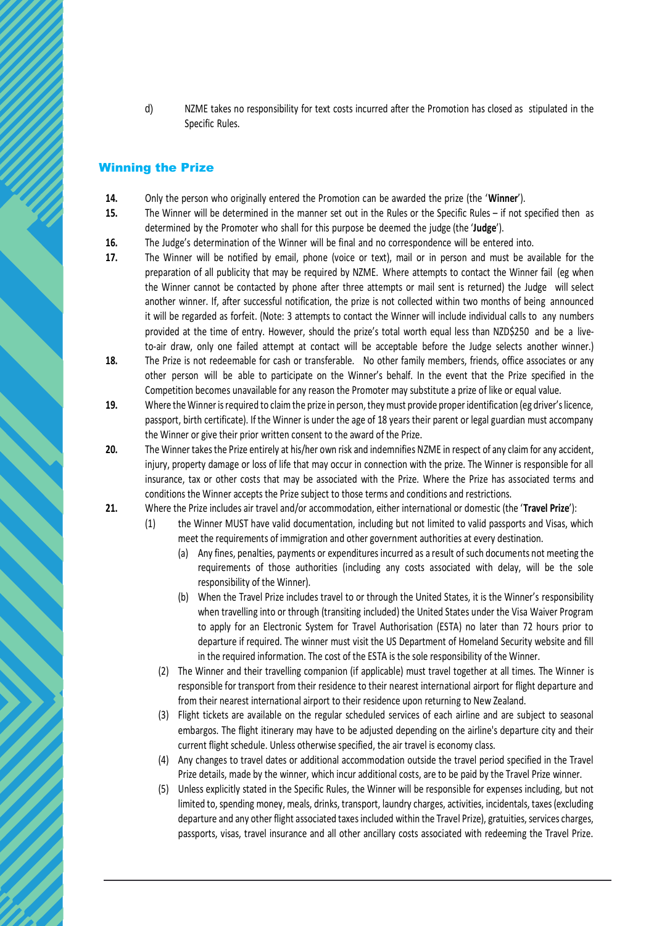d) NZME takes no responsibility for text costs incurred after the Promotion has closed as stipulated in the Specific Rules.

## Winning the Prize

- **14.** Only the person who originally entered the Promotion can be awarded the prize (the '**Winner**').
- **15.** The Winner will be determined in the manner set out in the Rules or the Specific Rules if not specified then as determined by the Promoter who shall for this purpose be deemed the judge (the '**Judge**').
- **16.** The Judge's determination of the Winner will be final and no correspondence will be entered into.
- **17.** The Winner will be notified by email, phone (voice or text), mail or in person and must be available for the preparation of all publicity that may be required by NZME. Where attempts to contact the Winner fail (eg when the Winner cannot be contacted by phone after three attempts or mail sent is returned) the Judge will select another winner. If, after successful notification, the prize is not collected within two months of being announced it will be regarded as forfeit. (Note: 3 attempts to contact the Winner will include individual calls to any numbers provided at the time of entry. However, should the prize's total worth equal less than NZD\$250 and be a liveto-air draw, only one failed attempt at contact will be acceptable before the Judge selects another winner.)
- **18.** The Prize is not redeemable for cash or transferable. No other family members, friends, office associates or any other person will be able to participate on the Winner's behalf. In the event that the Prize specified in the Competition becomes unavailable for any reason the Promoter may substitute a prize of like or equal value.
- **19.** Where the Winner is required to claim the prize in person, they must provide proper identification (eg driver's licence, passport, birth certificate). If the Winner is under the age of 18 years their parent or legal guardian must accompany the Winner or give their prior written consent to the award of the Prize.
- **20.** The Winner takes the Prize entirely at his/her own risk and indemnifies NZME in respect of any claim for any accident, injury, property damage or loss of life that may occur in connection with the prize. The Winner is responsible for all insurance, tax or other costs that may be associated with the Prize. Where the Prize has associated terms and conditions the Winner accepts the Prize subject to those terms and conditions and restrictions.
- **21.** Where the Prize includes air travel and/or accommodation, either international or domestic (the '**Travel Prize**'):
	- (1) the Winner MUST have valid documentation, including but not limited to valid passports and Visas, which meet the requirements of immigration and other government authorities at every destination.
		- (a) Any fines, penalties, payments or expenditures incurred as a result of such documents not meeting the requirements of those authorities (including any costs associated with delay, will be the sole responsibility of the Winner).
		- (b) When the Travel Prize includes travel to or through the United States, it is the Winner's responsibility when travelling into or through (transiting included) the United States under the Visa Waiver Program to apply for an Electronic System for Travel Authorisation (ESTA) no later than 72 hours prior to departure if required. The winner must visit the US Department of Homeland Security website and fill in the required information. The cost of the ESTA is the sole responsibility of the Winner.
		- (2) The Winner and their travelling companion (if applicable) must travel together at all times. The Winner is responsible for transport from their residence to their nearest international airport for flight departure and from their nearest international airport to their residence upon returning to New Zealand.
		- (3) Flight tickets are available on the regular scheduled services of each airline and are subject to seasonal embargos. The flight itinerary may have to be adjusted depending on the airline's departure city and their current flight schedule. Unless otherwise specified, the air travel is economy class.
		- (4) Any changes to travel dates or additional accommodation outside the travel period specified in the Travel Prize details, made by the winner, which incur additional costs, are to be paid by the Travel Prize winner.
		- (5) Unless explicitly stated in the Specific Rules, the Winner will be responsible for expenses including, but not limited to, spending money, meals, drinks, transport, laundry charges, activities, incidentals, taxes (excluding departure and any other flight associated taxes included within the Travel Prize), gratuities, services charges, passports, visas, travel insurance and all other ancillary costs associated with redeeming the Travel Prize.